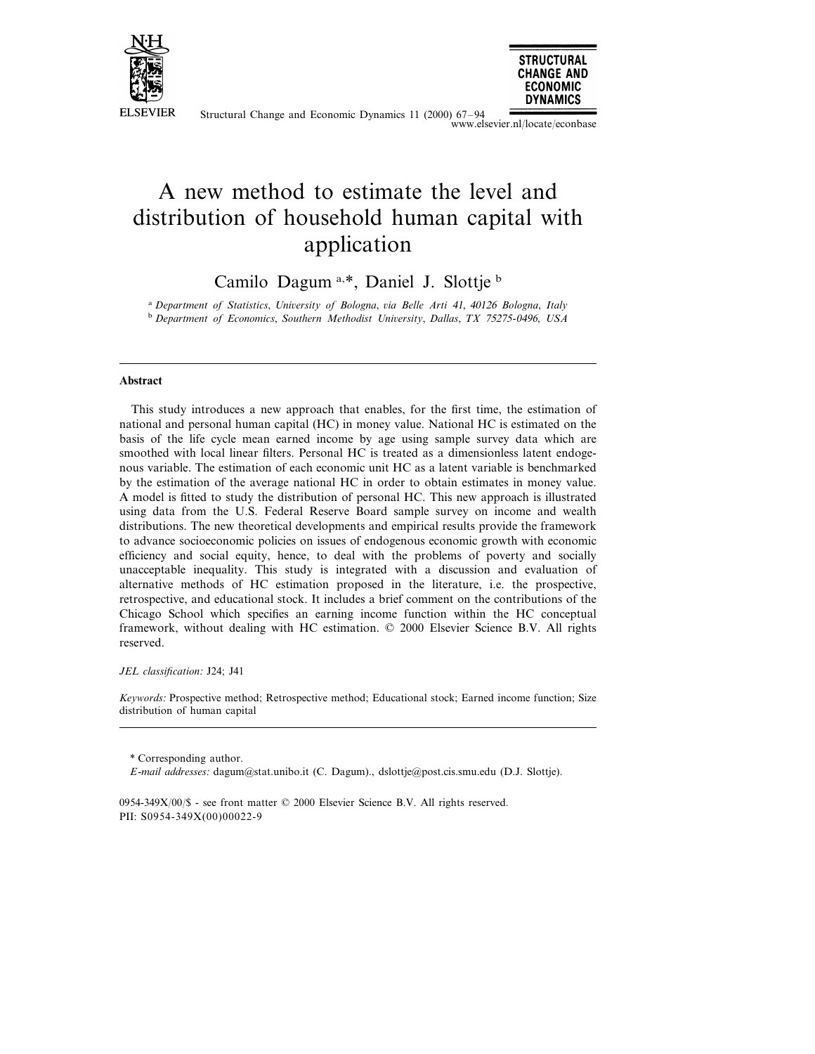

**STRUCTURAL CHANGE AND ECONOMIC DYNAMICS** 

Structural Change and Economic Dynamics 11 (2000) 67–94 www.elsevier.nl/locate/econbase

## A new method to estimate the level and distribution of household human capital with application

Camilo Dagum a,\*, Daniel J. Slottje <sup>b</sup>

<sup>a</sup> Department of Statistics, University of Bologna, via Belle Arti 41, 40126 Bologna. Italy <sup>b</sup> *Department of Economics*, *Southern Methodist Uni*6*ersity*, *Dallas*, *TX* <sup>75275</sup>-0496, *USA*

## **Abstract**

This study introduces a new approach that enables, for the first time, the estimation of national and personal human capital (HC) in money value. National HC is estimated on the basis of the life cycle mean earned income by age using sample survey data which are smoothed with local linear filters. Personal HC is treated as a dimensionless latent endogenous variable. The estimation of each economic unit HC as a latent variable is benchmarked by the estimation of the average national HC in order to obtain estimates in money value. A model is fitted to study the distribution of personal HC. This new approach is illustrated using data from the U.S. Federal Reserve Board sample survey on income and wealth distributions. The new theoretical developments and empirical results provide the framework to advance socioeconomic policies on issues of endogenous economic growth with economic efficiency and social equity, hence, to deal with the problems of poverty and socially unacceptable inequality. This study is integrated with a discussion and evaluation of alternative methods of HC estimation proposed in the literature, i.e. the prospective, retrospective, and educational stock. It includes a brief comment on the contributions of the Chicago School which specifies an earning income function within the HC conceptual framework, without dealing with HC estimation. © 2000 Elsevier Science B.V. All rights reserved.

*JEL classification*: J24; J41

*Keywords*: Prospective method; Retrospective method; Educational stock; Earned income function; Size distribution of human capital

\* Corresponding author.

*E*-*mail addresses*: dagum@stat.unibo.it (C. Dagum)., dslottje@post.cis.smu.edu (D.J. Slottje).

0954-349X/00/\$ - see front matter © 2000 Elsevier Science B.V. All rights reserved. PII: S0954-349X(00)00022-9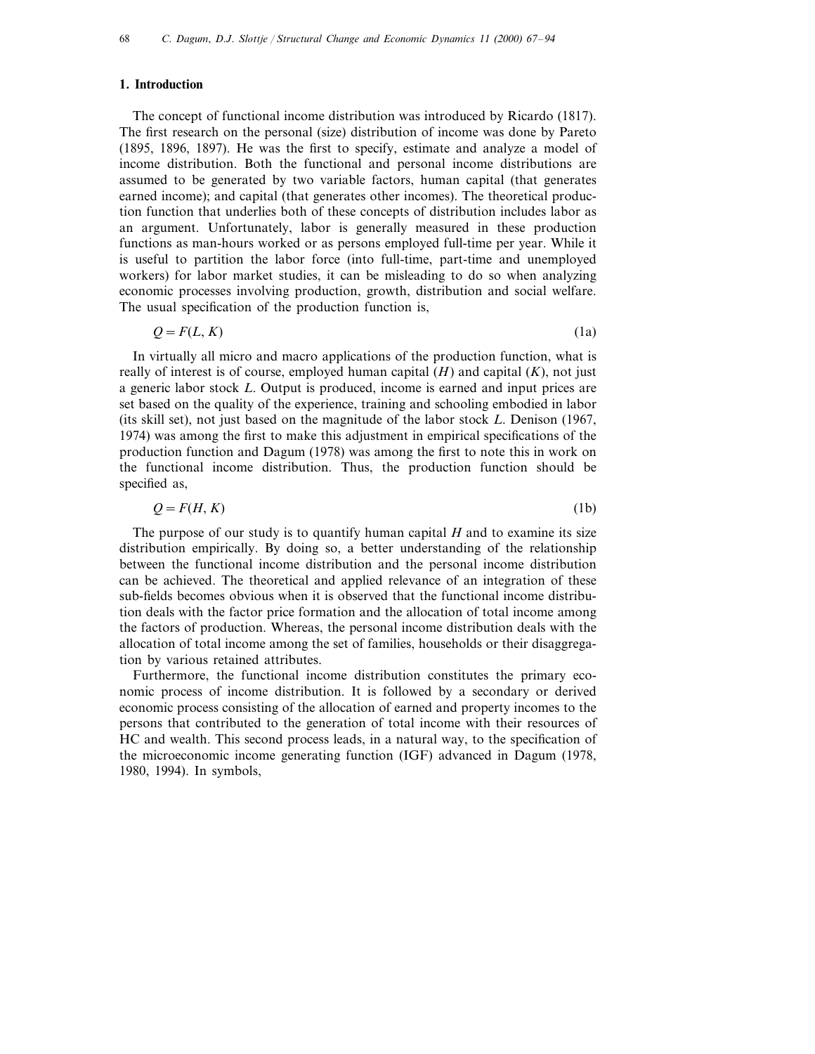## **1. Introduction**

The concept of functional income distribution was introduced by Ricardo (1817). The first research on the personal (size) distribution of income was done by Pareto (1895, 1896, 1897). He was the first to specify, estimate and analyze a model of income distribution. Both the functional and personal income distributions are assumed to be generated by two variable factors, human capital (that generates earned income); and capital (that generates other incomes). The theoretical production function that underlies both of these concepts of distribution includes labor as an argument. Unfortunately, labor is generally measured in these production functions as man-hours worked or as persons employed full-time per year. While it is useful to partition the labor force (into full-time, part-time and unemployed workers) for labor market studies, it can be misleading to do so when analyzing economic processes involving production, growth, distribution and social welfare. The usual specification of the production function is,

 $Q = F(L, K)$  (1a)

In virtually all micro and macro applications of the production function, what is really of interest is of course, employed human capital (*H*) and capital (*K*), not just a generic labor stock *L*. Output is produced, income is earned and input prices are set based on the quality of the experience, training and schooling embodied in labor (its skill set), not just based on the magnitude of the labor stock *L*. Denison (1967, 1974) was among the first to make this adjustment in empirical specifications of the production function and Dagum (1978) was among the first to note this in work on the functional income distribution. Thus, the production function should be specified as,

 $Q = F(H, K)$  (1b)

The purpose of our study is to quantify human capital *H* and to examine its size distribution empirically. By doing so, a better understanding of the relationship between the functional income distribution and the personal income distribution can be achieved. The theoretical and applied relevance of an integration of these sub-fields becomes obvious when it is observed that the functional income distribution deals with the factor price formation and the allocation of total income among the factors of production. Whereas, the personal income distribution deals with the allocation of total income among the set of families, households or their disaggregation by various retained attributes.

Furthermore, the functional income distribution constitutes the primary economic process of income distribution. It is followed by a secondary or derived economic process consisting of the allocation of earned and property incomes to the persons that contributed to the generation of total income with their resources of HC and wealth. This second process leads, in a natural way, to the specification of the microeconomic income generating function (IGF) advanced in Dagum (1978, 1980, 1994). In symbols,